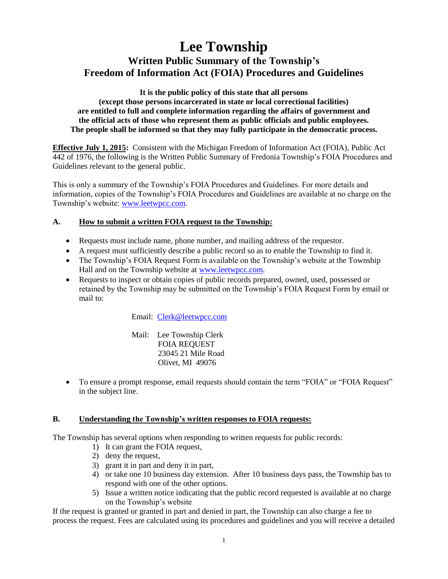# **Lee Township Written Public Summary of the Township's Freedom of Information Act (FOIA) Procedures and Guidelines**

**It is the public policy of this state that all persons (except those persons incarcerated in state or local correctional facilities) are entitled to full and complete information regarding the affairs of government and the official acts of those who represent them as public officials and public employees. The people shall be informed so that they may fully participate in the democratic process.**

**Effective July 1, 2015:** Consistent with the Michigan Freedom of Information Act (FOIA), Public Act 442 of 1976, the following is the Written Public Summary of Fredonia Township's FOIA Procedures and Guidelines relevant to the general public.

This is only a summary of the Township's FOIA Procedures and Guidelines. For more details and information, copies of the Township's FOIA Procedures and Guidelines are available at no charge on the Township's website: [www.leetwpcc.com.](http://www.leetwpcc.com/)

## **A. How to submit a written FOIA request to the Township:**

- Requests must include name, phone number, and mailing address of the requestor.
- A request must sufficiently describe a public record so as to enable the Township to find it.
- The Township's FOIA Request Form is available on the Township's website at the Township Hall and on the Township website at [www.leetwpcc.com.](www.fredoniatownship.com)
- Requests to inspect or obtain copies of public records prepared, owned, used, possessed or retained by the Township may be submitted on the Township's FOIA Request Form by email or mail to:

Email: [Clerk@leetwpcc.com](mailto:Clerk@leetwpcc.com)

Mail: Lee Township Clerk FOIA REQUEST 23045 21 Mile Road Olivet, MI 49076

 To ensure a prompt response, email requests should contain the term "FOIA" or "FOIA Request" in the subject line.

## **B. Understanding the Township's written responses to FOIA requests:**

The Township has several options when responding to written requests for public records:

- 1) It can grant the FOIA request,
- 2) deny the request,
- 3) grant it in part and deny it in part,
- 4) or take one 10 business day extension. After 10 business days pass, the Township has to respond with one of the other options.
- 5) Issue a written notice indicating that the public record requested is available at no charge on the Township's website

If the request is granted or granted in part and denied in part, the Township can also charge a fee to process the request. Fees are calculated using its procedures and guidelines and you will receive a detailed